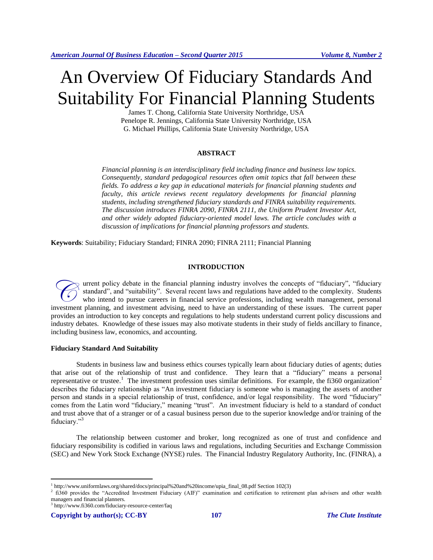# An Overview Of Fiduciary Standards And Suitability For Financial Planning Students

James T. Chong, California State University Northridge, USA Penelope R. Jennings, California State University Northridge, USA G. Michael Phillips, California State University Northridge, USA

# **ABSTRACT**

*Financial planning is an interdisciplinary field including finance and business law topics. Consequently, standard pedagogical resources often omit topics that fall between these fields. To address a key gap in educational materials for financial planning students and faculty, this article reviews recent regulatory developments for financial planning students, including strengthened fiduciary standards and FINRA suitability requirements. The discussion introduces FINRA 2090, FINRA 2111, the Uniform Prudent Investor Act, and other widely adopted fiduciary-oriented model laws. The article concludes with a discussion of implications for financial planning professors and students.*

**Keywords**: Suitability; Fiduciary Standard; FINRA 2090; FINRA 2111; Financial Planning

## **INTRODUCTION**

urrent policy debate in the financial planning industry involves the concepts of "fiduciary", "fiduciary standard", and "suitability". Several recent laws and regulations have added to the complexity. Students who intend to pursue careers in financial service professions, including wealth management, personal I wrent policy debate in the financial planning industry involves the concepts of "fiduciary", "fiduciary standard", and "suitability". Several recent laws and regulations have added to the complexity. Students who intend provides an introduction to key concepts and regulations to help students understand current policy discussions and industry debates. Knowledge of these issues may also motivate students in their study of fields ancillary to finance, including business law, economics, and accounting.

#### **Fiduciary Standard And Suitability**

Students in business law and business ethics courses typically learn about fiduciary duties of agents; duties that arise out of the relationship of trust and confidence. They learn that a "fiduciary" means a personal representative or trustee.<sup>1</sup> The investment profession uses similar definitions. For example, the fi360 organization<sup>2</sup> describes the fiduciary relationship as "An investment fiduciary is someone who is managing the assets of another person and stands in a special relationship of trust, confidence, and/or legal responsibility. The word "fiduciary" comes from the Latin word "fiduciary," meaning "trust". An investment fiduciary is held to a standard of conduct and trust above that of a stranger or of a casual business person due to the superior knowledge and/or training of the fiduciary."<sup>3</sup>

The relationship between customer and broker, long recognized as one of trust and confidence and fiduciary responsibility is codified in various laws and regulations, including Securities and Exchange Commission (SEC) and New York Stock Exchange (NYSE) rules. The Financial Industry Regulatory Authority, Inc. (FINRA), a

 $\overline{a}$ 

<sup>1</sup> http://www.uniformlaws.org/shared/docs/principal%20and%20income/upia\_final\_08.pdf Section 102(3)

<sup>&</sup>lt;sup>2</sup> fi360 provides the "Accredited Investment Fiduciary (AIF)" examination and certification to retirement plan advisers and other wealth managers and financial planners.

<sup>3</sup> http://www.fi360.com/fiduciary-resource-center/faq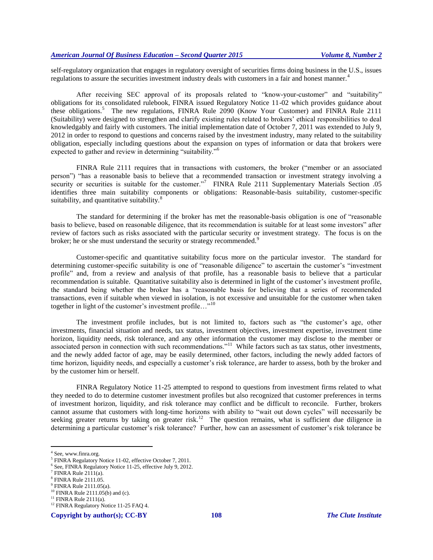self-regulatory organization that engages in regulatory oversight of securities firms doing business in the U.S., issues regulations to assure the securities investment industry deals with customers in a fair and honest manner.<sup>4</sup>

After receiving SEC approval of its proposals related to "know-your-customer" and "suitability" obligations for its consolidated rulebook, FINRA issued Regulatory Notice 11-02 which provides guidance about these obligations.<sup>5</sup> The new regulations, FINRA Rule 2090 (Know Your Customer) and FINRA Rule 2111 (Suitability) were designed to strengthen and clarify existing rules related to brokers' ethical responsibilities to deal knowledgably and fairly with customers. The initial implementation date of October 7, 2011 was extended to July 9, 2012 in order to respond to questions and concerns raised by the investment industry, many related to the suitability obligation, especially including questions about the expansion on types of information or data that brokers were expected to gather and review in determining "suitability."<sup>6</sup>

FINRA Rule 2111 requires that in transactions with customers, the broker ("member or an associated person") "has a reasonable basis to believe that a recommended transaction or investment strategy involving a security or securities is suitable for the customer."<sup>7</sup> FINRA Rule 2111 Supplementary Materials Section .05 identifies three main suitability components or obligations: Reasonable-basis suitability, customer-specific suitability, and quantitative suitability.<sup>8</sup>

The standard for determining if the broker has met the reasonable-basis obligation is one of "reasonable basis to believe, based on reasonable diligence, that its recommendation is suitable for at least some investors" after review of factors such as risks associated with the particular security or investment strategy. The focus is on the broker; he or she must understand the security or strategy recommended.<sup>9</sup>

Customer-specific and quantitative suitability focus more on the particular investor. The standard for determining customer-specific suitability is one of "reasonable diligence" to ascertain the customer's "investment profile" and, from a review and analysis of that profile, has a reasonable basis to believe that a particular recommendation is suitable. Quantitative suitability also is determined in light of the customer's investment profile, the standard being whether the broker has a "reasonable basis for believing that a series of recommended transactions, even if suitable when viewed in isolation, is not excessive and unsuitable for the customer when taken together in light of the customer's investment profile..."<sup>10</sup>

The investment profile includes, but is not limited to, factors such as "the customer's age, other investments, financial situation and needs, tax status, investment objectives, investment expertise, investment time horizon, liquidity needs, risk tolerance, and any other information the customer may disclose to the member or associated person in connection with such recommendations."<sup>11</sup> While factors such as tax status, other investments, and the newly added factor of age, may be easily determined, other factors, including the newly added factors of time horizon, liquidity needs, and especially a customer's risk tolerance, are harder to assess, both by the broker and by the customer him or herself.

FINRA Regulatory Notice 11-25 attempted to respond to questions from investment firms related to what they needed to do to determine customer investment profiles but also recognized that customer preferences in terms of investment horizon, liquidity, and risk tolerance may conflict and be difficult to reconcile. Further, brokers cannot assume that customers with long-time horizons with ability to "wait out down cycles" will necessarily be seeking greater returns by taking on greater risk.<sup>12</sup> The question remains, what is sufficient due diligence in determining a particular customer's risk tolerance? Further, how can an assessment of customer's risk tolerance be

 $\overline{a}$ 

<sup>&</sup>lt;sup>4</sup> See, www.finra.org.

<sup>&</sup>lt;sup>5</sup> FINRA Regulatory Notice 11-02, effective October 7, 2011.

<sup>&</sup>lt;sup>6</sup> See, FINRA Regulatory Notice 11-25, effective July 9, 2012.

 $7$  FINRA Rule 2111(a).

<sup>8</sup> FINRA Rule 2111.05.

 $9$  FINRA Rule 2111.05(a).

<sup>&</sup>lt;sup>10</sup> FINRA Rule 2111.05(b) and (c).

 $11$  FINRA Rule 2111(a).

<sup>&</sup>lt;sup>12</sup> FINRA Regulatory Notice 11-25 FAQ 4.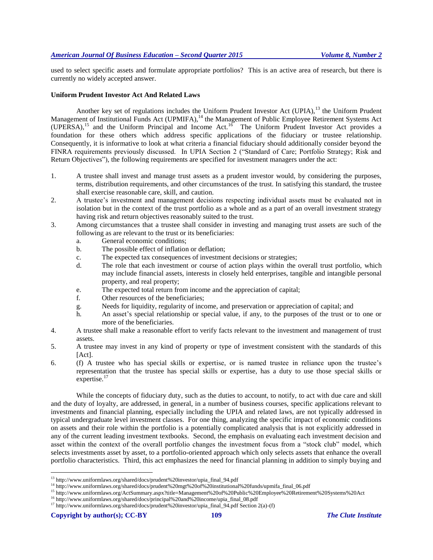used to select specific assets and formulate appropriate portfolios? This is an active area of research, but there is currently no widely accepted answer.

## **Uniform Prudent Investor Act And Related Laws**

Another key set of regulations includes the Uniform Prudent Investor Act (UPIA),<sup>13</sup> the Uniform Prudent Management of Institutional Funds Act (UPMIFA),<sup>14</sup> the Management of Public Employee Retirement Systems Act  $(UPERSA)$ ,<sup>15</sup> and the Uniform Principal and Income Act.<sup>16</sup> The Uniform Prudent Investor Act provides a foundation for these others which address specific applications of the fiduciary or trustee relationship. Consequently, it is informative to look at what criteria a financial fiduciary should additionally consider beyond the FINRA requirements previously discussed. In UPIA Section 2 ("Standard of Care; Portfolio Strategy; Risk and Return Objectives"), the following requirements are specified for investment managers under the act:

- 1. A trustee shall invest and manage trust assets as a prudent investor would, by considering the purposes, terms, distribution requirements, and other circumstances of the trust. In satisfying this standard, the trustee shall exercise reasonable care, skill, and caution.
- 2. A trustee's investment and management decisions respecting individual assets must be evaluated not in isolation but in the context of the trust portfolio as a whole and as a part of an overall investment strategy having risk and return objectives reasonably suited to the trust.
- 3. Among circumstances that a trustee shall consider in investing and managing trust assets are such of the following as are relevant to the trust or its beneficiaries:
	- a. General economic conditions;
	- b. The possible effect of inflation or deflation;
	- c. The expected tax consequences of investment decisions or strategies;
	- d. The role that each investment or course of action plays within the overall trust portfolio, which may include financial assets, interests in closely held enterprises, tangible and intangible personal property, and real property;
	- e. The expected total return from income and the appreciation of capital;
	- f. Other resources of the beneficiaries;
	- g. Needs for liquidity, regularity of income, and preservation or appreciation of capital; and
	- h. An asset's special relationship or special value, if any, to the purposes of the trust or to one or more of the beneficiaries.
- 4. A trustee shall make a reasonable effort to verify facts relevant to the investment and management of trust assets.
- 5. A trustee may invest in any kind of property or type of investment consistent with the standards of this [Act].
- 6. (f) A trustee who has special skills or expertise, or is named trustee in reliance upon the trustee's representation that the trustee has special skills or expertise, has a duty to use those special skills or expertise.<sup>17</sup>

While the concepts of fiduciary duty, such as the duties to account, to notify, to act with due care and skill and the duty of loyalty, are addressed, in general, in a number of business courses, specific applications relevant to investments and financial planning, especially including the UPIA and related laws, are not typically addressed in typical undergraduate level investment classes. For one thing, analyzing the specific impact of economic conditions on assets and their role within the portfolio is a potentially complicated analysis that is not explicitly addressed in any of the current leading investment textbooks. Second, the emphasis on evaluating each investment decision and asset within the context of the overall portfolio changes the investment focus from a "stock club" model, which selects investments asset by asset, to a portfolio-oriented approach which only selects assets that enhance the overall portfolio characteristics. Third, this act emphasizes the need for financial planning in addition to simply buying and

 $\overline{a}$ 

<sup>&</sup>lt;sup>13</sup> http://www.uniformlaws.org/shared/docs/prudent%20investor/upia\_final\_94.pdf

<sup>14</sup> http://www.uniformlaws.org/shared/docs/prudent%20mgt%20of%20institutional%20funds/upmifa\_final\_06.pdf

<sup>15</sup> http://www.uniformlaws.org/ActSummary.aspx?title=Management%20of%20Public%20Employee%20Retirement%20Systems%20Act

<sup>16</sup> http://www.uniformlaws.org/shared/docs/principal%20and%20income/upia\_final\_08.pdf

<sup>17</sup> http://www.uniformlaws.org/shared/docs/prudent%20investor/upia\_final\_94.pdf Section 2(a)-(f)